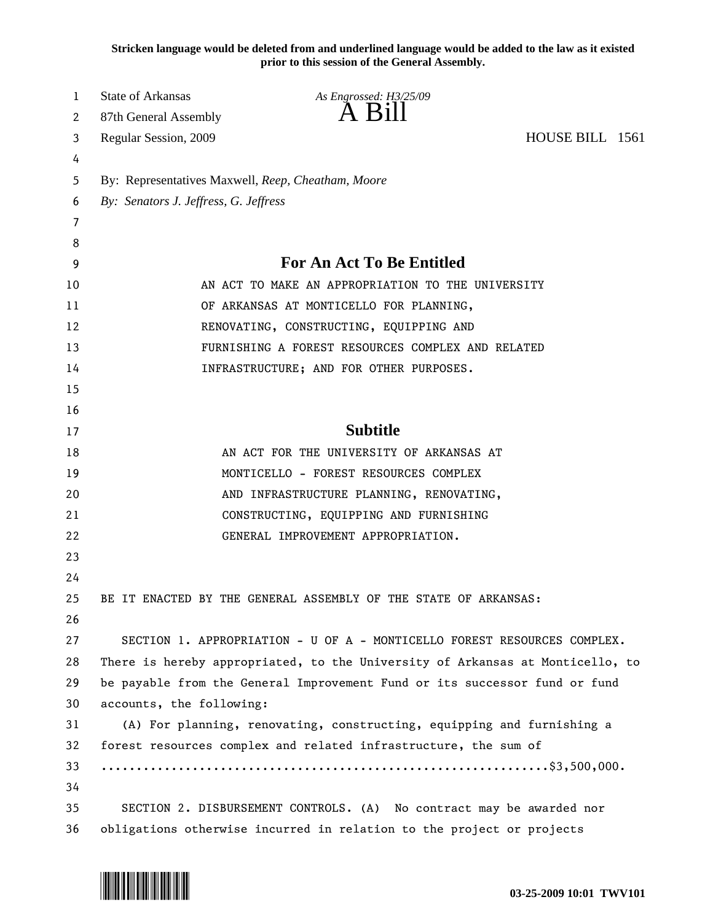**Stricken language would be deleted from and underlined language would be added to the law as it existed prior to this session of the General Assembly.**

| 1  | State of Arkansas                                  | As Engrossed: H3/25/09                                                        |                 |  |  |  |  |  |  |  |  |
|----|----------------------------------------------------|-------------------------------------------------------------------------------|-----------------|--|--|--|--|--|--|--|--|
| 2  | 87th General Assembly                              | $A$ B <sub>1</sub> $II$                                                       |                 |  |  |  |  |  |  |  |  |
| 3  | Regular Session, 2009                              |                                                                               | HOUSE BILL 1561 |  |  |  |  |  |  |  |  |
| 4  |                                                    |                                                                               |                 |  |  |  |  |  |  |  |  |
| 5  | By: Representatives Maxwell, Reep, Cheatham, Moore |                                                                               |                 |  |  |  |  |  |  |  |  |
| 6  | By: Senators J. Jeffress, G. Jeffress              |                                                                               |                 |  |  |  |  |  |  |  |  |
| 7  |                                                    |                                                                               |                 |  |  |  |  |  |  |  |  |
| 8  |                                                    |                                                                               |                 |  |  |  |  |  |  |  |  |
| 9  | For An Act To Be Entitled                          |                                                                               |                 |  |  |  |  |  |  |  |  |
| 10 | AN ACT TO MAKE AN APPROPRIATION TO THE UNIVERSITY  |                                                                               |                 |  |  |  |  |  |  |  |  |
| 11 |                                                    | OF ARKANSAS AT MONTICELLO FOR PLANNING,                                       |                 |  |  |  |  |  |  |  |  |
| 12 | RENOVATING, CONSTRUCTING, EQUIPPING AND            |                                                                               |                 |  |  |  |  |  |  |  |  |
| 13 | FURNISHING A FOREST RESOURCES COMPLEX AND RELATED  |                                                                               |                 |  |  |  |  |  |  |  |  |
| 14 |                                                    | INFRASTRUCTURE; AND FOR OTHER PURPOSES.                                       |                 |  |  |  |  |  |  |  |  |
| 15 |                                                    |                                                                               |                 |  |  |  |  |  |  |  |  |
| 16 |                                                    |                                                                               |                 |  |  |  |  |  |  |  |  |
| 17 |                                                    | <b>Subtitle</b>                                                               |                 |  |  |  |  |  |  |  |  |
| 18 |                                                    | AN ACT FOR THE UNIVERSITY OF ARKANSAS AT                                      |                 |  |  |  |  |  |  |  |  |
| 19 |                                                    | MONTICELLO - FOREST RESOURCES COMPLEX                                         |                 |  |  |  |  |  |  |  |  |
| 20 |                                                    | AND INFRASTRUCTURE PLANNING, RENOVATING,                                      |                 |  |  |  |  |  |  |  |  |
| 21 |                                                    | CONSTRUCTING, EQUIPPING AND FURNISHING                                        |                 |  |  |  |  |  |  |  |  |
| 22 |                                                    | GENERAL IMPROVEMENT APPROPRIATION.                                            |                 |  |  |  |  |  |  |  |  |
| 23 |                                                    |                                                                               |                 |  |  |  |  |  |  |  |  |
| 24 |                                                    |                                                                               |                 |  |  |  |  |  |  |  |  |
| 25 |                                                    | BE IT ENACTED BY THE GENERAL ASSEMBLY OF THE STATE OF ARKANSAS:               |                 |  |  |  |  |  |  |  |  |
| 26 |                                                    |                                                                               |                 |  |  |  |  |  |  |  |  |
| 27 |                                                    | SECTION 1. APPROPRIATION - U OF A - MONTICELLO FOREST RESOURCES COMPLEX.      |                 |  |  |  |  |  |  |  |  |
| 28 |                                                    | There is hereby appropriated, to the University of Arkansas at Monticello, to |                 |  |  |  |  |  |  |  |  |
| 29 |                                                    | be payable from the General Improvement Fund or its successor fund or fund    |                 |  |  |  |  |  |  |  |  |
| 30 | accounts, the following:                           |                                                                               |                 |  |  |  |  |  |  |  |  |
| 31 |                                                    | (A) For planning, renovating, constructing, equipping and furnishing a        |                 |  |  |  |  |  |  |  |  |
| 32 |                                                    | forest resources complex and related infrastructure, the sum of               |                 |  |  |  |  |  |  |  |  |
| 33 |                                                    |                                                                               |                 |  |  |  |  |  |  |  |  |
| 34 |                                                    |                                                                               |                 |  |  |  |  |  |  |  |  |
| 35 |                                                    | SECTION 2. DISBURSEMENT CONTROLS. (A) No contract may be awarded nor          |                 |  |  |  |  |  |  |  |  |
| 36 |                                                    | obligations otherwise incurred in relation to the project or projects         |                 |  |  |  |  |  |  |  |  |

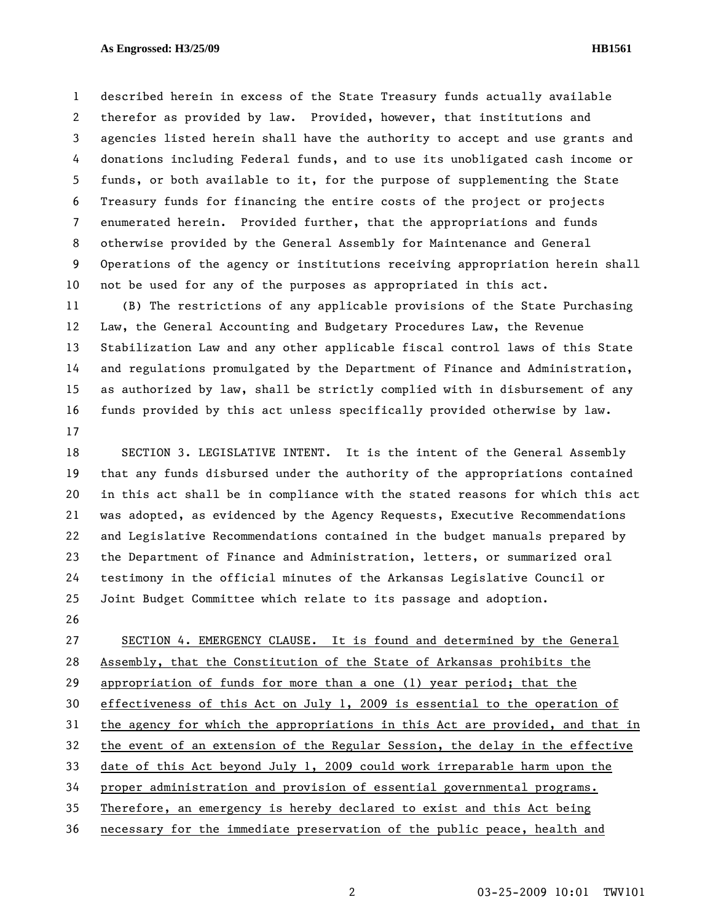## **As Engrossed: H3/25/09 HB1561**

1 described herein in excess of the State Treasury funds actually available 2 therefor as provided by law. Provided, however, that institutions and 3 agencies listed herein shall have the authority to accept and use grants and 4 donations including Federal funds, and to use its unobligated cash income or 5 funds, or both available to it, for the purpose of supplementing the State 6 Treasury funds for financing the entire costs of the project or projects 7 enumerated herein. Provided further, that the appropriations and funds 8 otherwise provided by the General Assembly for Maintenance and General 9 Operations of the agency or institutions receiving appropriation herein shall 10 not be used for any of the purposes as appropriated in this act.

11 (B) The restrictions of any applicable provisions of the State Purchasing 12 Law, the General Accounting and Budgetary Procedures Law, the Revenue 13 Stabilization Law and any other applicable fiscal control laws of this State 14 and regulations promulgated by the Department of Finance and Administration, 15 as authorized by law, shall be strictly complied with in disbursement of any 16 funds provided by this act unless specifically provided otherwise by law. 17

18 SECTION 3. LEGISLATIVE INTENT. It is the intent of the General Assembly 19 that any funds disbursed under the authority of the appropriations contained 20 in this act shall be in compliance with the stated reasons for which this act 21 was adopted, as evidenced by the Agency Requests, Executive Recommendations 22 and Legislative Recommendations contained in the budget manuals prepared by 23 the Department of Finance and Administration, letters, or summarized oral 24 testimony in the official minutes of the Arkansas Legislative Council or 25 Joint Budget Committee which relate to its passage and adoption.

26

27 SECTION 4. EMERGENCY CLAUSE. It is found and determined by the General 28 Assembly, that the Constitution of the State of Arkansas prohibits the 29 appropriation of funds for more than a one (1) year period; that the 30 effectiveness of this Act on July 1, 2009 is essential to the operation of 31 the agency for which the appropriations in this Act are provided, and that in 32 the event of an extension of the Regular Session, the delay in the effective 33 date of this Act beyond July 1, 2009 could work irreparable harm upon the 34 proper administration and provision of essential governmental programs. 35 Therefore, an emergency is hereby declared to exist and this Act being 36 necessary for the immediate preservation of the public peace, health and